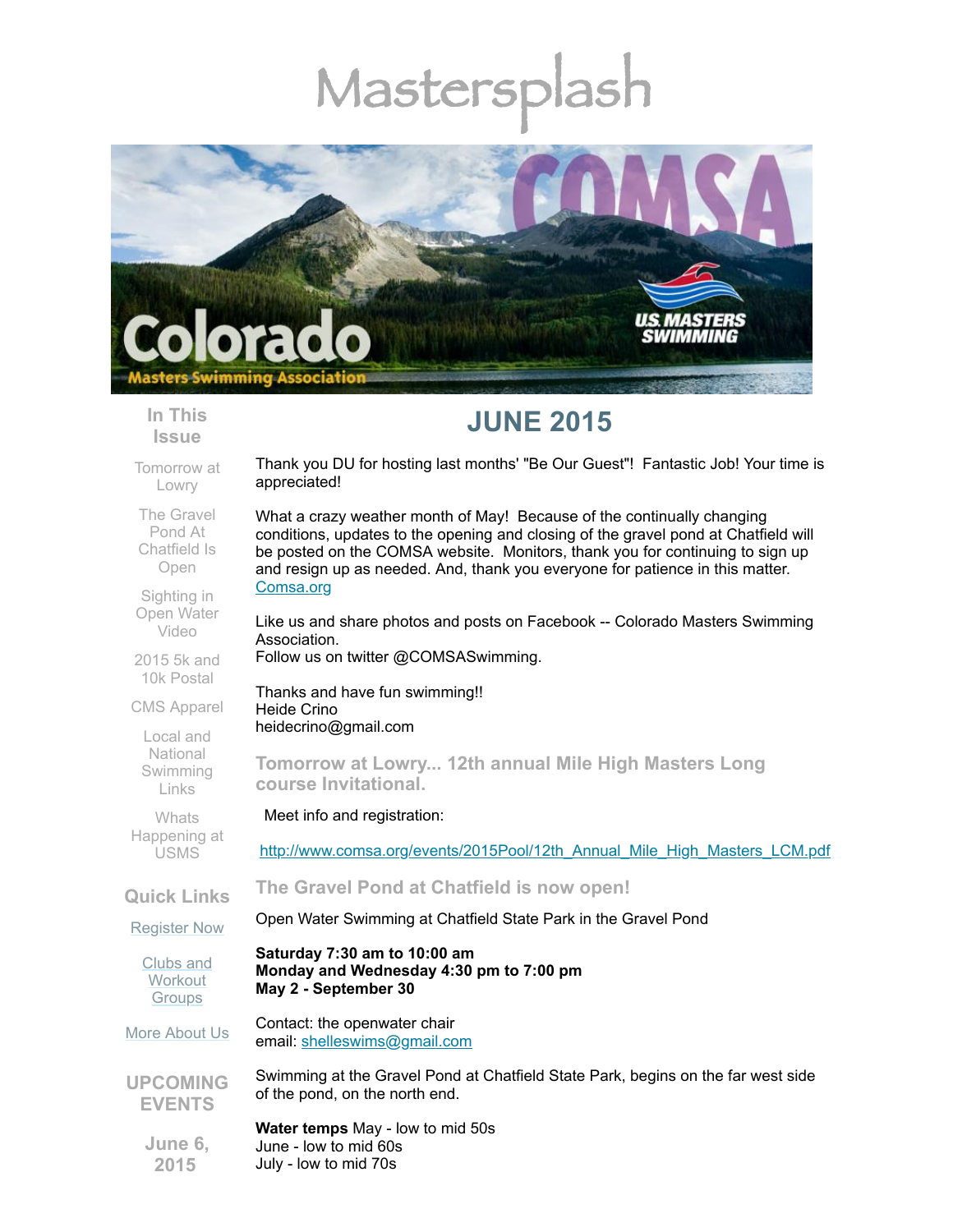# Mastersp



## **In This Issue**

**JUNE 2015** 

Thank you DU for hosting last months' "Be Our Guest"! Fantastic Job! Your time is

Like us and share photos and posts on Facebook -- Colorado Masters Swimming

What a crazy weather month of May! Because of the continually changing conditions, updates to the opening and closing of the gravel pond at Chatfield will be posted on the COMSA website. Monitors, thank you for continuing to sign up and resign up as needed. And, thank you everyone for patience in this matter.

[Tomorrow](#page-0-0) at Lowry

appreciated!

[Comsa.org](http://comsa.org/)

Association.

Heide Crino

The Gravel Pond At [Chatfield](#page-0-1) Is Open

Open Water Video

2015 5k and 10k [Postal](#page-1-1)

CMS [Apparel](#page-2-0)

Local and National [Swimming](#page-2-1) Links

**Whats** [Happening](#page-2-2) at USMS

**Quick Links**

[Register](http://comsa.org/joining/index.html) Now

Clubs and **[Workout](http://comsa.org/clubs/index.html) Groups** 

More [About](http://comsa.org/) Us

**UPCOMING EVENTS**

Swimming at the Gravel Pond at Chatfield State Park, begins on the far west side of the pond, on the north end.

**Water temps** May - low to mid 50s June - low to mid 60s July - low to mid 70s

**June 6, 2015**

[Sighting](#page-1-0) in

Meet info and registration:

**course Invitational.** 

heidecrino@gmail.com

[http://www.comsa.org/events/2015Pool/12th\\_Annual\\_Mile\\_High\\_Masters\\_LCM.pdf](http://www.comsa.org/events/2015Pool/12th_Annual_Mile_High_Masters_LCM.pdf)

<span id="page-0-0"></span>**Tomorrow at Lowry... 12th annual Mile High Masters Long**

<span id="page-0-1"></span>**The Gravel Pond at Chatfield is now open!**

Open Water Swimming at Chatfield State Park in the Gravel Pond

**Saturday 7:30 am to 10:00 am Monday and Wednesday 4:30 pm to 7:00 pm May 2 - September 30**

Follow us on twitter @COMSASwimming.

Thanks and have fun swimming!!

Contact: the openwater chair email: [shelleswims@gmail.com](mailto:shelleswims@gmail.com)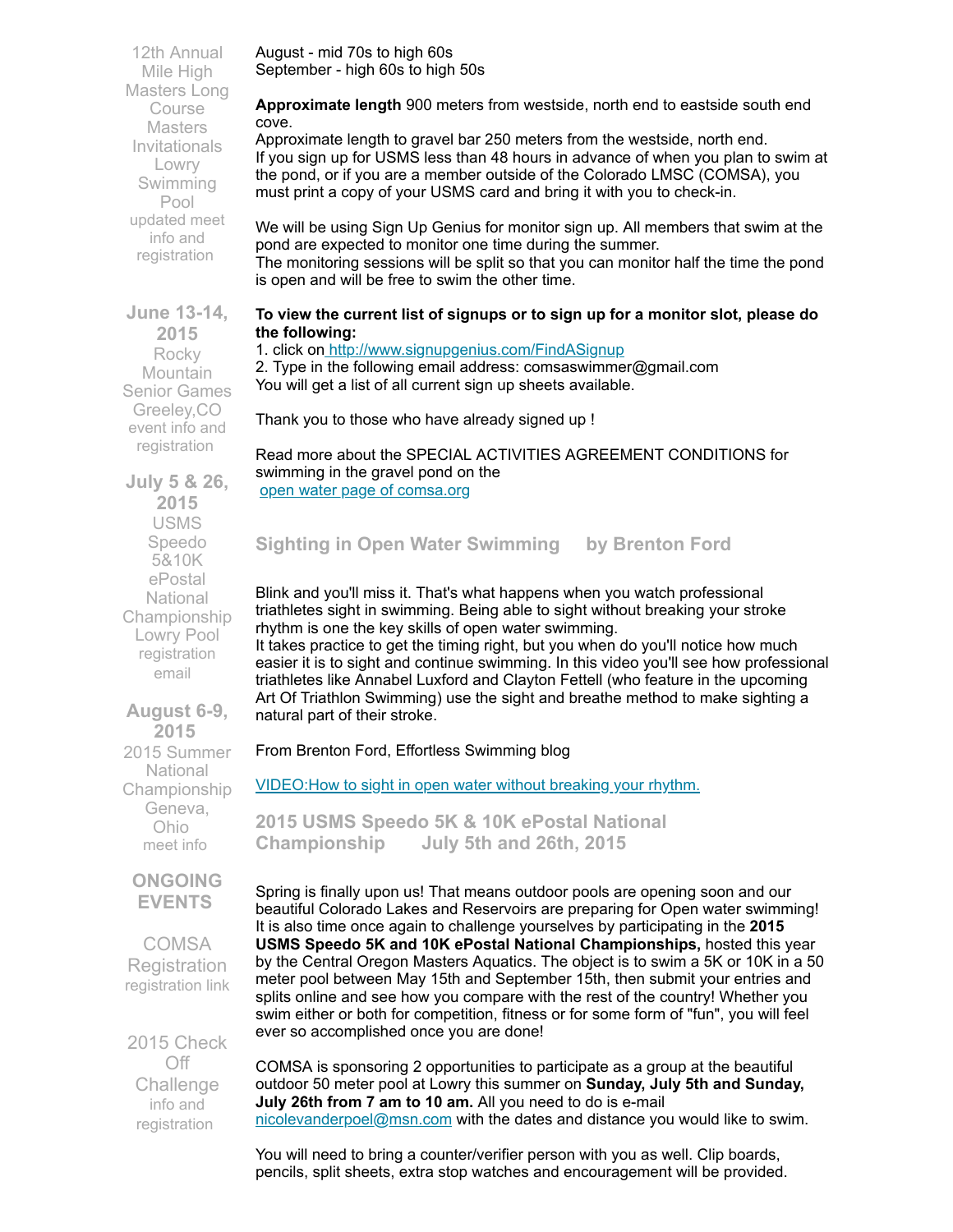August - mid 70s to high 60s September - high 60s to high 50s

Mile High Masters Long Course **Masters** Invitationals Lowry Swimming Pool updated meet info and [registration](http://www.comsa.org/events/2015Pool/12th_Annual_Mile_High_Masters_LCM.pdf)

12th Annual

**Approximate length** 900 meters from westside, north end to eastside south end cove.

Approximate length to gravel bar 250 meters from the westside, north end. If you sign up for USMS less than 48 hours in advance of when you plan to swim at the pond, or if you are a member outside of the Colorado LMSC (COMSA), you must print a copy of your USMS card and bring it with you to check-in.

We will be using Sign Up Genius for monitor sign up. All members that swim at the pond are expected to monitor one time during the summer.

The monitoring sessions will be split so that you can monitor half the time the pond is open and will be free to swim the other time.

## **To view the current list of signups or to sign up for a monitor slot, please do the following:**

## 1. click on <http://www.signupgenius.com/FindASignup>

2. Type in the following email address: comsaswimmer@gmail.com You will get a list of all current sign up sheets available.

Thank you to those who have already signed up !

Read more about the SPECIAL ACTIVITIES AGREEMENT CONDITIONS for swimming in the gravel pond on the open water page of [comsa.org](http://www.comsa.org/openwater.html)

## <span id="page-1-0"></span>**Sighting in Open Water Swimming by Brenton Ford**

Blink and you'll miss it. That's what happens when you watch professional triathletes sight in swimming. Being able to sight without breaking your stroke rhythm is one the key skills of open water swimming.

It takes practice to get the timing right, but you when do you'll notice how much easier it is to sight and continue swimming. In this video you'll see how professional triathletes like Annabel Luxford and Clayton Fettell (who feature in the upcoming Art Of Triathlon Swimming) use the sight and breathe method to make sighting a natural part of their stroke.

From Brenton Ford, Effortless Swimming blog

[VIDEO:How](http://effortlessswimming.com/freestyle/how-to-sight-in-open-water/) to sight in open water without breaking your rhythm.

<span id="page-1-1"></span>**2015 USMS Speedo 5K & 10K ePostal National Championship July 5th and 26th, 2015**

Spring is finally upon us! That means outdoor pools are opening soon and our beautiful Colorado Lakes and Reservoirs are preparing for Open water swimming! It is also time once again to challenge yourselves by participating in the **2015 USMS Speedo 5K and 10K ePostal National Championships,** hosted this year by the Central Oregon Masters Aquatics. The object is to swim a 5K or 10K in a 50 meter pool between May 15th and September 15th, then submit your entries and splits online and see how you compare with the rest of the country! Whether you swim either or both for competition, fitness or for some form of "fun", you will feel ever so accomplished once you are done!

COMSA is sponsoring 2 opportunities to participate as a group at the beautiful outdoor 50 meter pool at Lowry this summer on **Sunday, July 5th and Sunday, July 26th from 7 am to 10 am.** All you need to do is e-mail [nicolevanderpoel@msn.com](mailto:nicolevanderpoel@msn.com) with the dates and distance you would like to swim.

You will need to bring a counter/verifier person with you as well. Clip boards, pencils, split sheets, extra stop watches and encouragement will be provided.

**June 13-14, 2015** Rocky **Mountain** Senior Games Greeley,CO event info and [registration](http://www.rockymountainseniorgames.com/)

**July 5 & 26, 2015** USMS Speedo 5&10K ePostal **National** Championship Lowry Pool [registration](mailto:nicolevanderpoel@msn.com) email

**August 6-9, 2015** 2015 Summer **National** Championship Geneva, Ohio [meet](http://www.usms.org/comp/lcnats15/) info

**ONGOING EVENTS**

**COMSA Registration** [registration](http://www.comsa.org/joining/index.html) link

2015 Check Off **Challenge** info and [registration](http://www.usms.org/fitness/content/checkoff)